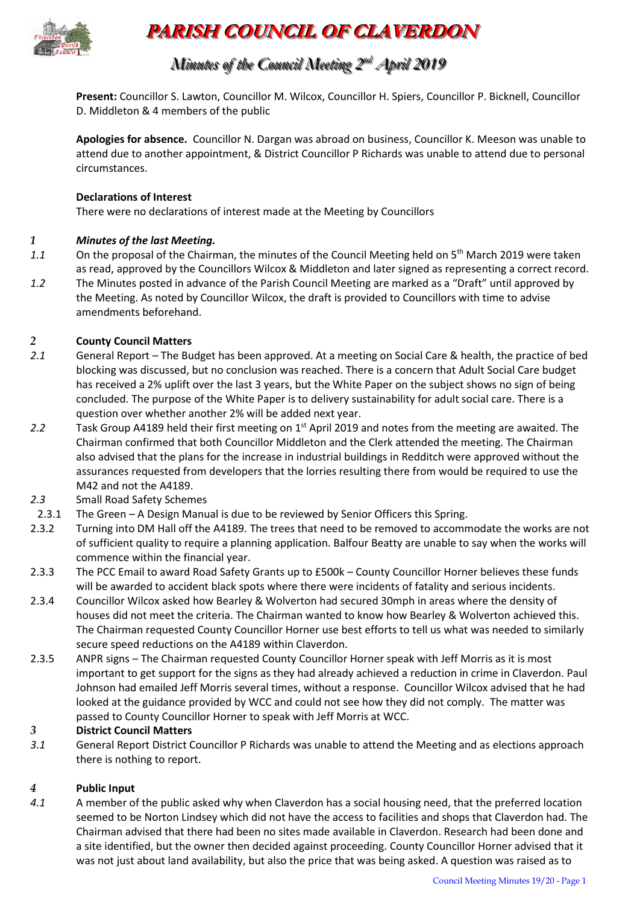

# **PARISH COUNCIL OF CLAVERDON**

# *Minutes of the Council Meeting 2 nndd April 2019*

**Present:** Councillor S. Lawton, Councillor M. Wilcox, Councillor H. Spiers, Councillor P. Bicknell, Councillor D. Middleton & 4 members of the public

**Apologies for absence.** Councillor N. Dargan was abroad on business, Councillor K. Meeson was unable to attend due to another appointment, & District Councillor P Richards was unable to attend due to personal circumstances.

#### **Declarations of Interest**

There were no declarations of interest made at the Meeting by Councillors

#### *1 Minutes of the last Meeting.*

- 1.1 On the proposal of the Chairman, the minutes of the Council Meeting held on 5<sup>th</sup> March 2019 were taken as read, approved by the Councillors Wilcox & Middleton and later signed as representing a correct record.
- *1.2* The Minutes posted in advance of the Parish Council Meeting are marked as a "Draft" until approved by the Meeting. As noted by Councillor Wilcox, the draft is provided to Councillors with time to advise amendments beforehand.

#### *2* **County Council Matters**

- *2.1* General Report The Budget has been approved. At a meeting on Social Care & health, the practice of bed blocking was discussed, but no conclusion was reached. There is a concern that Adult Social Care budget has received a 2% uplift over the last 3 years, but the White Paper on the subject shows no sign of being concluded. The purpose of the White Paper is to delivery sustainability for adult social care. There is a question over whether another 2% will be added next year.
- 2.2 Task Group A4189 held their first meeting on 1<sup>st</sup> April 2019 and notes from the meeting are awaited. The Chairman confirmed that both Councillor Middleton and the Clerk attended the meeting. The Chairman also advised that the plans for the increase in industrial buildings in Redditch were approved without the assurances requested from developers that the lorries resulting there from would be required to use the M42 and not the A4189.
- *2.3* Small Road Safety Schemes
- 2.3.1 The Green A Design Manual is due to be reviewed by Senior Officers this Spring.
- 2.3.2 Turning into DM Hall off the A4189. The trees that need to be removed to accommodate the works are not of sufficient quality to require a planning application. Balfour Beatty are unable to say when the works will commence within the financial year.
- 2.3.3 The PCC Email to award Road Safety Grants up to £500k County Councillor Horner believes these funds will be awarded to accident black spots where there were incidents of fatality and serious incidents.
- 2.3.4 Councillor Wilcox asked how Bearley & Wolverton had secured 30mph in areas where the density of houses did not meet the criteria. The Chairman wanted to know how Bearley & Wolverton achieved this. The Chairman requested County Councillor Horner use best efforts to tell us what was needed to similarly secure speed reductions on the A4189 within Claverdon.
- 2.3.5 ANPR signs The Chairman requested County Councillor Horner speak with Jeff Morris as it is most important to get support for the signs as they had already achieved a reduction in crime in Claverdon. Paul Johnson had emailed Jeff Morris several times, without a response. Councillor Wilcox advised that he had looked at the guidance provided by WCC and could not see how they did not comply. The matter was passed to County Councillor Horner to speak with Jeff Morris at WCC.

#### *3* **District Council Matters**

*3.1* General Report District Councillor P Richards was unable to attend the Meeting and as elections approach there is nothing to report.

#### *4* **Public Input**

*4.1* A member of the public asked why when Claverdon has a social housing need, that the preferred location seemed to be Norton Lindsey which did not have the access to facilities and shops that Claverdon had. The Chairman advised that there had been no sites made available in Claverdon. Research had been done and a site identified, but the owner then decided against proceeding. County Councillor Horner advised that it was not just about land availability, but also the price that was being asked. A question was raised as to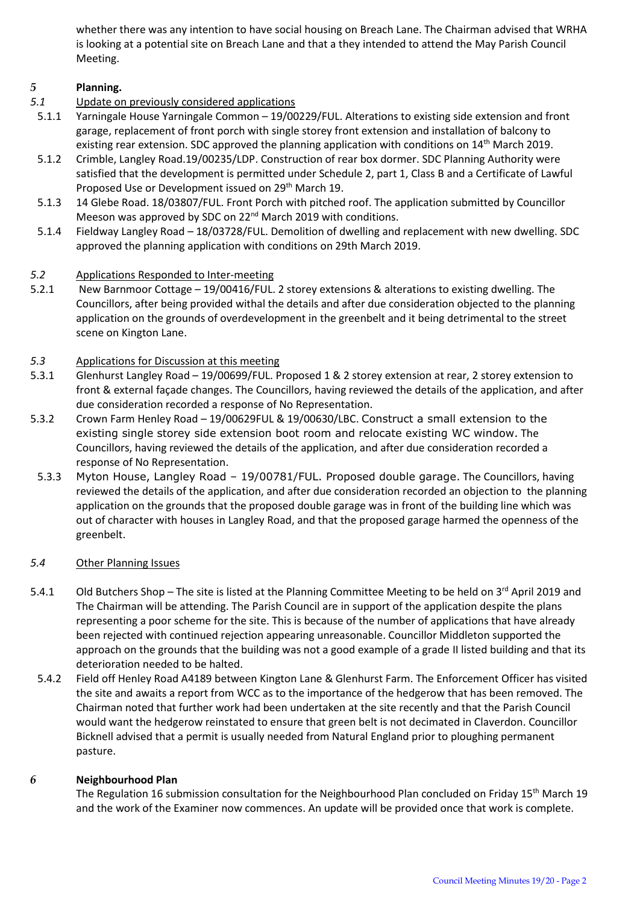whether there was any intention to have social housing on Breach Lane. The Chairman advised that WRHA is looking at a potential site on Breach Lane and that a they intended to attend the May Parish Council Meeting.

# *5* **Planning.**

- *5.1* Update on previously considered applications
- 5.1.1 Yarningale House Yarningale Common 19/00229/FUL. Alterations to existing side extension and front garage, replacement of front porch with single storey front extension and installation of balcony to existing rear extension. SDC approved the planning application with conditions on  $14<sup>th</sup>$  March 2019.
- 5.1.2 Crimble, Langley Road.19/00235/LDP. Construction of rear box dormer. SDC Planning Authority were satisfied that the development is permitted under Schedule 2, part 1, Class B and a Certificate of Lawful Proposed Use or Development issued on 29<sup>th</sup> March 19.
- 5.1.3 14 Glebe Road. 18/03807/FUL. Front Porch with pitched roof. The application submitted by Councillor Meeson was approved by SDC on 22<sup>nd</sup> March 2019 with conditions.
- 5.1.4 Fieldway Langley Road 18/03728/FUL. Demolition of dwelling and replacement with new dwelling. SDC approved the planning application with conditions on 29th March 2019.

# *5.2* Applications Responded to Inter-meeting

- 5.2.1 New Barnmoor Cottage 19/00416/FUL. 2 storey extensions & alterations to existing dwelling. The Councillors, after being provided withal the details and after due consideration objected to the planning application on the grounds of overdevelopment in the greenbelt and it being detrimental to the street scene on Kington Lane.
- *5.3* Applications for Discussion at this meeting
- 5.3.1 Glenhurst Langley Road 19/00699/FUL. Proposed 1 & 2 storey extension at rear, 2 storey extension to front & external façade changes. The Councillors, having reviewed the details of the application, and after due consideration recorded a response of No Representation.
- 5.3.2 Crown Farm Henley Road 19/00629FUL & 19/00630/LBC. Construct a small extension to the existing single storey side extension boot room and relocate existing WC window. The Councillors, having reviewed the details of the application, and after due consideration recorded a response of No Representation.
- 5.3.3 Myton House, Langley Road 19/00781/FUL. Proposed double garage. The Councillors, having reviewed the details of the application, and after due consideration recorded an objection to the planning application on the grounds that the proposed double garage was in front of the building line which was out of character with houses in Langley Road, and that the proposed garage harmed the openness of the greenbelt.

#### *5.4* Other Planning Issues

- 5.4.1 Old Butchers Shop The site is listed at the Planning Committee Meeting to be held on 3<sup>rd</sup> April 2019 and The Chairman will be attending. The Parish Council are in support of the application despite the plans representing a poor scheme for the site. This is because of the number of applications that have already been rejected with continued rejection appearing unreasonable. Councillor Middleton supported the approach on the grounds that the building was not a good example of a grade II listed building and that its deterioration needed to be halted.
- 5.4.2 Field off Henley Road A4189 between Kington Lane & Glenhurst Farm. The Enforcement Officer has visited the site and awaits a report from WCC as to the importance of the hedgerow that has been removed. The Chairman noted that further work had been undertaken at the site recently and that the Parish Council would want the hedgerow reinstated to ensure that green belt is not decimated in Claverdon. Councillor Bicknell advised that a permit is usually needed from Natural England prior to ploughing permanent pasture.

#### *6* **Neighbourhood Plan**

The Regulation 16 submission consultation for the Neighbourhood Plan concluded on Friday 15<sup>th</sup> March 19 and the work of the Examiner now commences. An update will be provided once that work is complete.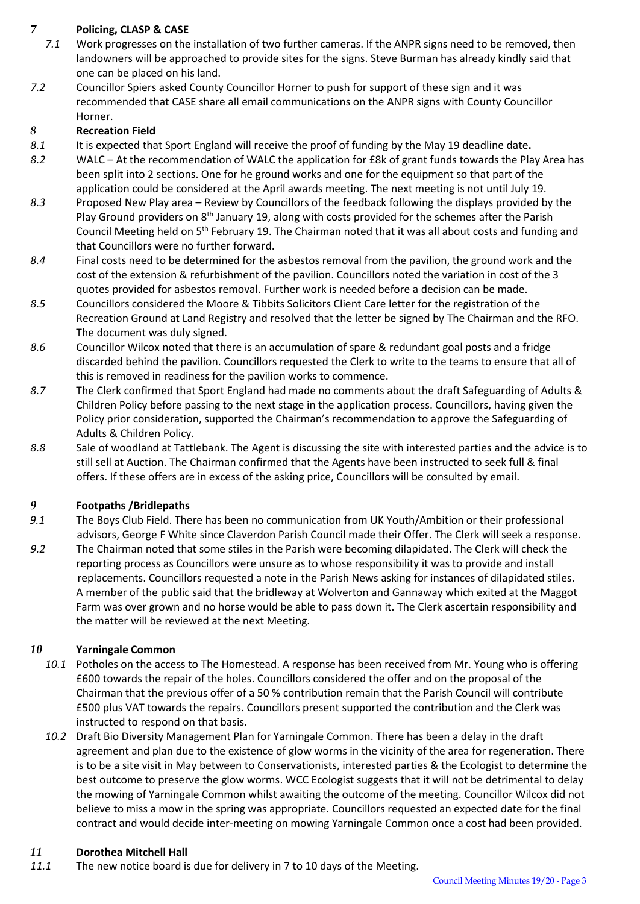# *7* **Policing, CLASP & CASE**

- *7.1* Work progresses on the installation of two further cameras. If the ANPR signs need to be removed, then landowners will be approached to provide sites for the signs. Steve Burman has already kindly said that one can be placed on his land.
- *7.2* Councillor Spiers asked County Councillor Horner to push for support of these sign and it was recommended that CASE share all email communications on the ANPR signs with County Councillor Horner.

#### *8* **Recreation Field**

- *8.1* It is expected that Sport England will receive the proof of funding by the May 19 deadline date**.**
- *8.2* WALC At the recommendation of WALC the application for £8k of grant funds towards the Play Area has been split into 2 sections. One for he ground works and one for the equipment so that part of the application could be considered at the April awards meeting. The next meeting is not until July 19.
- *8.3* Proposed New Play area Review by Councillors of the feedback following the displays provided by the Play Ground providers on 8<sup>th</sup> January 19, along with costs provided for the schemes after the Parish Council Meeting held on 5<sup>th</sup> February 19. The Chairman noted that it was all about costs and funding and that Councillors were no further forward.
- *8.4* Final costs need to be determined for the asbestos removal from the pavilion, the ground work and the cost of the extension & refurbishment of the pavilion. Councillors noted the variation in cost of the 3 quotes provided for asbestos removal. Further work is needed before a decision can be made.
- *8.5* Councillors considered the Moore & Tibbits Solicitors Client Care letter for the registration of the Recreation Ground at Land Registry and resolved that the letter be signed by The Chairman and the RFO. The document was duly signed.
- *8.6* Councillor Wilcox noted that there is an accumulation of spare & redundant goal posts and a fridge discarded behind the pavilion. Councillors requested the Clerk to write to the teams to ensure that all of this is removed in readiness for the pavilion works to commence.
- *8.7* The Clerk confirmed that Sport England had made no comments about the draft Safeguarding of Adults & Children Policy before passing to the next stage in the application process. Councillors, having given the Policy prior consideration, supported the Chairman's recommendation to approve the Safeguarding of Adults & Children Policy.
- *8.8* Sale of woodland at Tattlebank. The Agent is discussing the site with interested parties and the advice is to still sell at Auction. The Chairman confirmed that the Agents have been instructed to seek full & final offers. If these offers are in excess of the asking price, Councillors will be consulted by email.

# *9* **Footpaths /Bridlepaths**

- *9.1* The Boys Club Field. There has been no communication from UK Youth/Ambition or their professional advisors, George F White since Claverdon Parish Council made their Offer. The Clerk will seek a response.
- *9.2* The Chairman noted that some stiles in the Parish were becoming dilapidated. The Clerk will check the reporting process as Councillors were unsure as to whose responsibility it was to provide and install replacements. Councillors requested a note in the Parish News asking for instances of dilapidated stiles. A member of the public said that the bridleway at Wolverton and Gannaway which exited at the Maggot Farm was over grown and no horse would be able to pass down it. The Clerk ascertain responsibility and the matter will be reviewed at the next Meeting.

# *10* **Yarningale Common**

- *10.1* Potholes on the access to The Homestead. A response has been received from Mr. Young who is offering £600 towards the repair of the holes. Councillors considered the offer and on the proposal of the Chairman that the previous offer of a 50 % contribution remain that the Parish Council will contribute £500 plus VAT towards the repairs. Councillors present supported the contribution and the Clerk was instructed to respond on that basis.
- *10.2* Draft Bio Diversity Management Plan for Yarningale Common. There has been a delay in the draft agreement and plan due to the existence of glow worms in the vicinity of the area for regeneration. There is to be a site visit in May between to Conservationists, interested parties & the Ecologist to determine the best outcome to preserve the glow worms. WCC Ecologist suggests that it will not be detrimental to delay the mowing of Yarningale Common whilst awaiting the outcome of the meeting. Councillor Wilcox did not believe to miss a mow in the spring was appropriate. Councillors requested an expected date for the final contract and would decide inter-meeting on mowing Yarningale Common once a cost had been provided.

#### *11* **Dorothea Mitchell Hall**

*11.1* The new notice board is due for delivery in 7 to 10 days of the Meeting.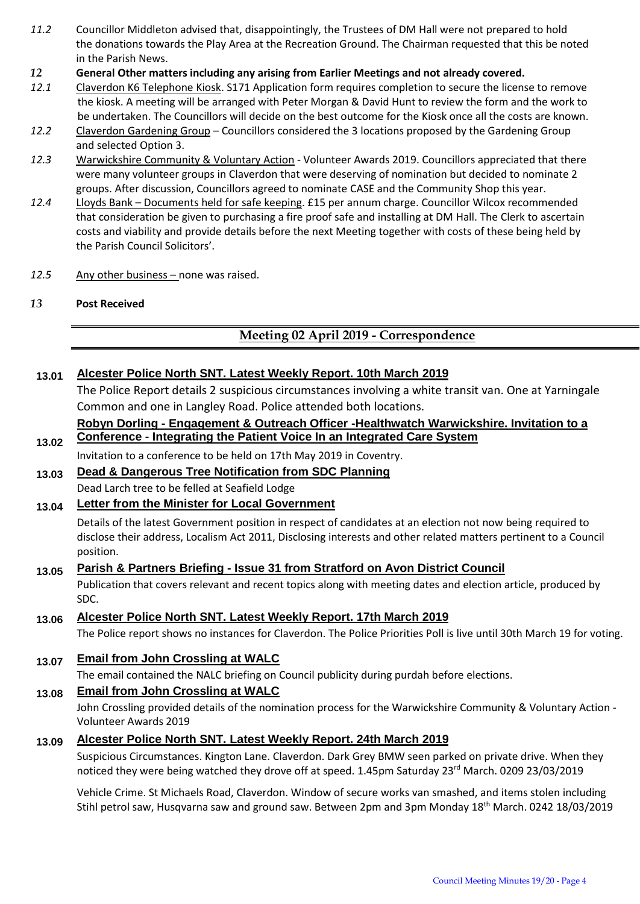- *11.2* Councillor Middleton advised that, disappointingly, the Trustees of DM Hall were not prepared to hold the donations towards the Play Area at the Recreation Ground. The Chairman requested that this be noted in the Parish News.
- *12* **General Other matters including any arising from Earlier Meetings and not already covered.**
- *12.1* Claverdon K6 Telephone Kiosk. S171 Application form requires completion to secure the license to remove the kiosk. A meeting will be arranged with Peter Morgan & David Hunt to review the form and the work to be undertaken. The Councillors will decide on the best outcome for the Kiosk once all the costs are known.
- *12.2* Claverdon Gardening Group Councillors considered the 3 locations proposed by the Gardening Group and selected Option 3.
- *12.3* Warwickshire Community & Voluntary Action Volunteer Awards 2019. Councillors appreciated that there were many volunteer groups in Claverdon that were deserving of nomination but decided to nominate 2 groups. After discussion, Councillors agreed to nominate CASE and the Community Shop this year.
- *12.4* Lloyds Bank Documents held for safe keeping. £15 per annum charge. Councillor Wilcox recommended that consideration be given to purchasing a fire proof safe and installing at DM Hall. The Clerk to ascertain costs and viability and provide details before the next Meeting together with costs of these being held by the Parish Council Solicitors'.
- *12.5* Any other business none was raised.
- *13* **Post Received**

# **Meeting 02 April 2019 - Correspondence**

# **13.01 Alcester Police North SNT. Latest Weekly Report. 10th March 2019**

The Police Report details 2 suspicious circumstances involving a white transit van. One at Yarningale Common and one in Langley Road. Police attended both locations.

#### **13.02 Robyn Dorling - Engagement & Outreach Officer -Healthwatch Warwickshire. Invitation to a Conference - Integrating the Patient Voice In an Integrated Care System**

Invitation to a conference to be held on 17th May 2019 in Coventry.

**13.03 Dead & Dangerous Tree Notification from SDC Planning**  Dead Larch tree to be felled at Seafield Lodge

# **13.04 Letter from the Minister for Local Government**

Details of the latest Government position in respect of candidates at an election not now being required to disclose their address, Localism Act 2011, Disclosing interests and other related matters pertinent to a Council position.

#### **13.05 Parish & Partners Briefing - Issue 31 from Stratford on Avon District Council**

Publication that covers relevant and recent topics along with meeting dates and election article, produced by SDC.

**13.06 Alcester Police North SNT. Latest Weekly Report. 17th March 2019**

The Police report shows no instances for Claverdon. The Police Priorities Poll is live until 30th March 19 for voting.

**13.07 Email from John Crossling at WALC** 

The email contained the NALC briefing on Council publicity during purdah before elections.

# **13.08 Email from John Crossling at WALC**

John Crossling provided details of the nomination process for the Warwickshire Community & Voluntary Action - Volunteer Awards 2019

# **13.09 Alcester Police North SNT. Latest Weekly Report. 24th March 2019**

Suspicious Circumstances. Kington Lane. Claverdon. Dark Grey BMW seen parked on private drive. When they noticed they were being watched they drove off at speed. 1.45pm Saturday 23<sup>rd</sup> March. 0209 23/03/2019

Vehicle Crime. St Michaels Road, Claverdon. Window of secure works van smashed, and items stolen including Stihl petrol saw, Husqvarna saw and ground saw. Between 2pm and 3pm Monday 18<sup>th</sup> March. 0242 18/03/2019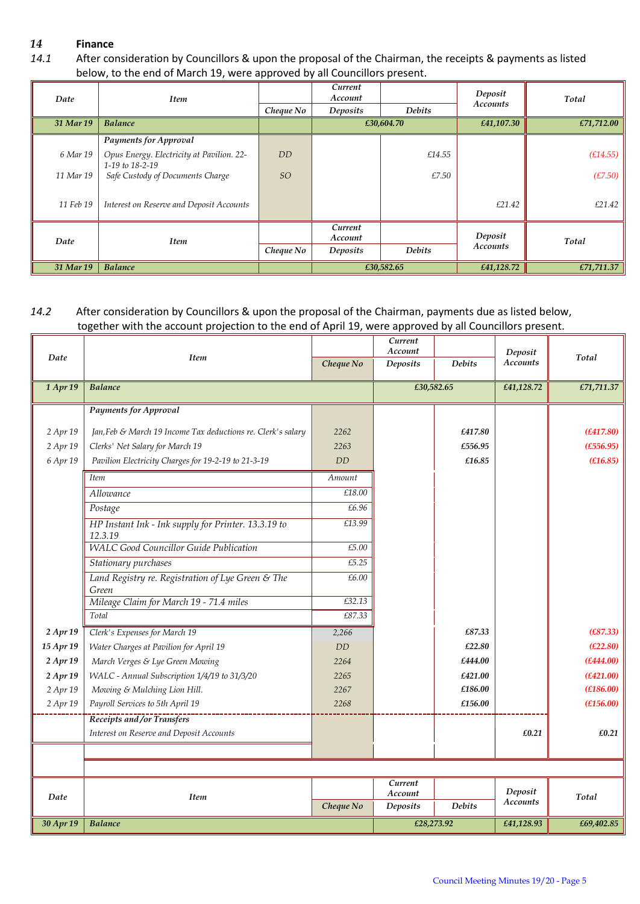# *14* **Finance**

*14.1* After consideration by Councillors & upon the proposal of the Chairman, the receipts & payments as listed below, to the end of March 19, were approved by all Councillors present.

| Date      | <b>Item</b>                                                  |                | Current<br>Account |               | Deposit         | Total      |
|-----------|--------------------------------------------------------------|----------------|--------------------|---------------|-----------------|------------|
|           |                                                              | Cheque No      | Deposits           | <b>Debits</b> | <b>Accounts</b> |            |
| 31 Mar 19 | <b>Balance</b>                                               |                | £30,604.70         |               | £41,107.30      | £71,712.00 |
|           | <b>Payments for Approval</b>                                 |                |                    |               |                 |            |
| 6 Mar 19  | Opus Energy. Electricity at Pavilion. 22-<br>1-19 to 18-2-19 | D <sub>D</sub> |                    | £14.55        |                 | (E14.55)   |
| 11 Mar 19 | Safe Custody of Documents Charge                             | <sub>SO</sub>  |                    | £7.50         |                 | (E7.50)    |
| 11 Feb 19 | Interest on Reserve and Deposit Accounts                     |                |                    |               | £21.42          | £21.42     |
| Date      | <b>Item</b>                                                  |                | Current<br>Account |               | Deposit         | Total      |
|           |                                                              | Cheque No      | Deposits           | <b>Debits</b> | <b>Accounts</b> |            |
| 31 Mar 19 | <b>Balance</b>                                               |                | £30,582.65         |               | £41,128.72      | £71,711.37 |

# *14.2* After consideration by Councillors & upon the proposal of the Chairman, payments due as listed below, together with the account projection to the end of April 19, were approved by all Councillors present.

| Date<br><b>Item</b><br>Total<br><b>Accounts</b><br><b>Debits</b><br>Cheque No<br>Deposits<br>£30,582.65<br>1 Apr 19<br><b>Balance</b><br>£41,128.72<br><b>Payments for Approval</b><br>£417.80<br>(E417.80)<br>2 Apr 19<br>Jan, Feb & March 19 Income Tax deductions re. Clerk's salary<br>2262<br>2 Apr 19<br>£556.95<br>(E556.95)<br>Clerks' Net Salary for March 19<br>2263<br>6 Apr 19<br><b>DD</b><br>£16.85<br>(E16.85)<br>Pavilion Electricity Charges for 19-2-19 to 21-3-19<br><b>Item</b><br>Amount<br>Allowance<br>£18.00<br>£6.96<br>Postage<br>HP Instant Ink - Ink supply for Printer. 13.3.19 to<br>£13.99<br>12.3.19<br><b>WALC Good Councillor Guide Publication</b><br>£5.00<br>£5.25<br>Stationary purchases<br>Land Registry re. Registration of Lye Green & The<br>£6.00<br>Green<br>Mileage Claim for March 19 - 71.4 miles<br>£32.13<br>£87.33<br>Total<br>2 Apr 19<br>Clerk's Expenses for March 19<br>£87.33<br>(E87.33)<br>2,266<br>15 Apr 19<br>(E22.80)<br>Water Charges at Pavilion for April 19<br>DD<br>£22.80<br>2 Apr 19<br>£444.00<br>(E444.00)<br>March Verges & Lye Green Mowing<br>2264<br>£421.00<br>(E421.00)<br>2 Apr 19<br>WALC - Annual Subscription 1/4/19 to 31/3/20<br>2265<br>£186.00<br>Mowing & Mulching Lion Hill.<br>2267<br>(E186.00)<br>2 Apr 19<br>£156.00<br>(E156.00)<br>2 Apr 19<br>Payroll Services to 5th April 19<br>2268<br>Receipts and /or Transfers<br>Interest on Reserve and Deposit Accounts<br>£0.21<br>£0.21<br>Current<br>Deposit<br>Account<br>Date<br><b>Item</b><br>Total<br><b>Accounts</b><br>Cheque No<br><b>Debits</b><br>Deposits<br>30 Apr 19<br><b>Balance</b><br>£28,273.92<br>£41,128.93<br>£69,402.85 |  | Current<br>Account |  | Deposit |            |
|-----------------------------------------------------------------------------------------------------------------------------------------------------------------------------------------------------------------------------------------------------------------------------------------------------------------------------------------------------------------------------------------------------------------------------------------------------------------------------------------------------------------------------------------------------------------------------------------------------------------------------------------------------------------------------------------------------------------------------------------------------------------------------------------------------------------------------------------------------------------------------------------------------------------------------------------------------------------------------------------------------------------------------------------------------------------------------------------------------------------------------------------------------------------------------------------------------------------------------------------------------------------------------------------------------------------------------------------------------------------------------------------------------------------------------------------------------------------------------------------------------------------------------------------------------------------------------------------------------------------------------------------------------------------------------------------|--|--------------------|--|---------|------------|
|                                                                                                                                                                                                                                                                                                                                                                                                                                                                                                                                                                                                                                                                                                                                                                                                                                                                                                                                                                                                                                                                                                                                                                                                                                                                                                                                                                                                                                                                                                                                                                                                                                                                                         |  |                    |  |         |            |
|                                                                                                                                                                                                                                                                                                                                                                                                                                                                                                                                                                                                                                                                                                                                                                                                                                                                                                                                                                                                                                                                                                                                                                                                                                                                                                                                                                                                                                                                                                                                                                                                                                                                                         |  |                    |  |         | £71,711.37 |
|                                                                                                                                                                                                                                                                                                                                                                                                                                                                                                                                                                                                                                                                                                                                                                                                                                                                                                                                                                                                                                                                                                                                                                                                                                                                                                                                                                                                                                                                                                                                                                                                                                                                                         |  |                    |  |         |            |
|                                                                                                                                                                                                                                                                                                                                                                                                                                                                                                                                                                                                                                                                                                                                                                                                                                                                                                                                                                                                                                                                                                                                                                                                                                                                                                                                                                                                                                                                                                                                                                                                                                                                                         |  |                    |  |         |            |
|                                                                                                                                                                                                                                                                                                                                                                                                                                                                                                                                                                                                                                                                                                                                                                                                                                                                                                                                                                                                                                                                                                                                                                                                                                                                                                                                                                                                                                                                                                                                                                                                                                                                                         |  |                    |  |         |            |
|                                                                                                                                                                                                                                                                                                                                                                                                                                                                                                                                                                                                                                                                                                                                                                                                                                                                                                                                                                                                                                                                                                                                                                                                                                                                                                                                                                                                                                                                                                                                                                                                                                                                                         |  |                    |  |         |            |
|                                                                                                                                                                                                                                                                                                                                                                                                                                                                                                                                                                                                                                                                                                                                                                                                                                                                                                                                                                                                                                                                                                                                                                                                                                                                                                                                                                                                                                                                                                                                                                                                                                                                                         |  |                    |  |         |            |
|                                                                                                                                                                                                                                                                                                                                                                                                                                                                                                                                                                                                                                                                                                                                                                                                                                                                                                                                                                                                                                                                                                                                                                                                                                                                                                                                                                                                                                                                                                                                                                                                                                                                                         |  |                    |  |         |            |
|                                                                                                                                                                                                                                                                                                                                                                                                                                                                                                                                                                                                                                                                                                                                                                                                                                                                                                                                                                                                                                                                                                                                                                                                                                                                                                                                                                                                                                                                                                                                                                                                                                                                                         |  |                    |  |         |            |
|                                                                                                                                                                                                                                                                                                                                                                                                                                                                                                                                                                                                                                                                                                                                                                                                                                                                                                                                                                                                                                                                                                                                                                                                                                                                                                                                                                                                                                                                                                                                                                                                                                                                                         |  |                    |  |         |            |
|                                                                                                                                                                                                                                                                                                                                                                                                                                                                                                                                                                                                                                                                                                                                                                                                                                                                                                                                                                                                                                                                                                                                                                                                                                                                                                                                                                                                                                                                                                                                                                                                                                                                                         |  |                    |  |         |            |
|                                                                                                                                                                                                                                                                                                                                                                                                                                                                                                                                                                                                                                                                                                                                                                                                                                                                                                                                                                                                                                                                                                                                                                                                                                                                                                                                                                                                                                                                                                                                                                                                                                                                                         |  |                    |  |         |            |
|                                                                                                                                                                                                                                                                                                                                                                                                                                                                                                                                                                                                                                                                                                                                                                                                                                                                                                                                                                                                                                                                                                                                                                                                                                                                                                                                                                                                                                                                                                                                                                                                                                                                                         |  |                    |  |         |            |
|                                                                                                                                                                                                                                                                                                                                                                                                                                                                                                                                                                                                                                                                                                                                                                                                                                                                                                                                                                                                                                                                                                                                                                                                                                                                                                                                                                                                                                                                                                                                                                                                                                                                                         |  |                    |  |         |            |
|                                                                                                                                                                                                                                                                                                                                                                                                                                                                                                                                                                                                                                                                                                                                                                                                                                                                                                                                                                                                                                                                                                                                                                                                                                                                                                                                                                                                                                                                                                                                                                                                                                                                                         |  |                    |  |         |            |
|                                                                                                                                                                                                                                                                                                                                                                                                                                                                                                                                                                                                                                                                                                                                                                                                                                                                                                                                                                                                                                                                                                                                                                                                                                                                                                                                                                                                                                                                                                                                                                                                                                                                                         |  |                    |  |         |            |
|                                                                                                                                                                                                                                                                                                                                                                                                                                                                                                                                                                                                                                                                                                                                                                                                                                                                                                                                                                                                                                                                                                                                                                                                                                                                                                                                                                                                                                                                                                                                                                                                                                                                                         |  |                    |  |         |            |
|                                                                                                                                                                                                                                                                                                                                                                                                                                                                                                                                                                                                                                                                                                                                                                                                                                                                                                                                                                                                                                                                                                                                                                                                                                                                                                                                                                                                                                                                                                                                                                                                                                                                                         |  |                    |  |         |            |
|                                                                                                                                                                                                                                                                                                                                                                                                                                                                                                                                                                                                                                                                                                                                                                                                                                                                                                                                                                                                                                                                                                                                                                                                                                                                                                                                                                                                                                                                                                                                                                                                                                                                                         |  |                    |  |         |            |
|                                                                                                                                                                                                                                                                                                                                                                                                                                                                                                                                                                                                                                                                                                                                                                                                                                                                                                                                                                                                                                                                                                                                                                                                                                                                                                                                                                                                                                                                                                                                                                                                                                                                                         |  |                    |  |         |            |
|                                                                                                                                                                                                                                                                                                                                                                                                                                                                                                                                                                                                                                                                                                                                                                                                                                                                                                                                                                                                                                                                                                                                                                                                                                                                                                                                                                                                                                                                                                                                                                                                                                                                                         |  |                    |  |         |            |
|                                                                                                                                                                                                                                                                                                                                                                                                                                                                                                                                                                                                                                                                                                                                                                                                                                                                                                                                                                                                                                                                                                                                                                                                                                                                                                                                                                                                                                                                                                                                                                                                                                                                                         |  |                    |  |         |            |
|                                                                                                                                                                                                                                                                                                                                                                                                                                                                                                                                                                                                                                                                                                                                                                                                                                                                                                                                                                                                                                                                                                                                                                                                                                                                                                                                                                                                                                                                                                                                                                                                                                                                                         |  |                    |  |         |            |
|                                                                                                                                                                                                                                                                                                                                                                                                                                                                                                                                                                                                                                                                                                                                                                                                                                                                                                                                                                                                                                                                                                                                                                                                                                                                                                                                                                                                                                                                                                                                                                                                                                                                                         |  |                    |  |         |            |
|                                                                                                                                                                                                                                                                                                                                                                                                                                                                                                                                                                                                                                                                                                                                                                                                                                                                                                                                                                                                                                                                                                                                                                                                                                                                                                                                                                                                                                                                                                                                                                                                                                                                                         |  |                    |  |         |            |
|                                                                                                                                                                                                                                                                                                                                                                                                                                                                                                                                                                                                                                                                                                                                                                                                                                                                                                                                                                                                                                                                                                                                                                                                                                                                                                                                                                                                                                                                                                                                                                                                                                                                                         |  |                    |  |         |            |
|                                                                                                                                                                                                                                                                                                                                                                                                                                                                                                                                                                                                                                                                                                                                                                                                                                                                                                                                                                                                                                                                                                                                                                                                                                                                                                                                                                                                                                                                                                                                                                                                                                                                                         |  |                    |  |         |            |
|                                                                                                                                                                                                                                                                                                                                                                                                                                                                                                                                                                                                                                                                                                                                                                                                                                                                                                                                                                                                                                                                                                                                                                                                                                                                                                                                                                                                                                                                                                                                                                                                                                                                                         |  |                    |  |         |            |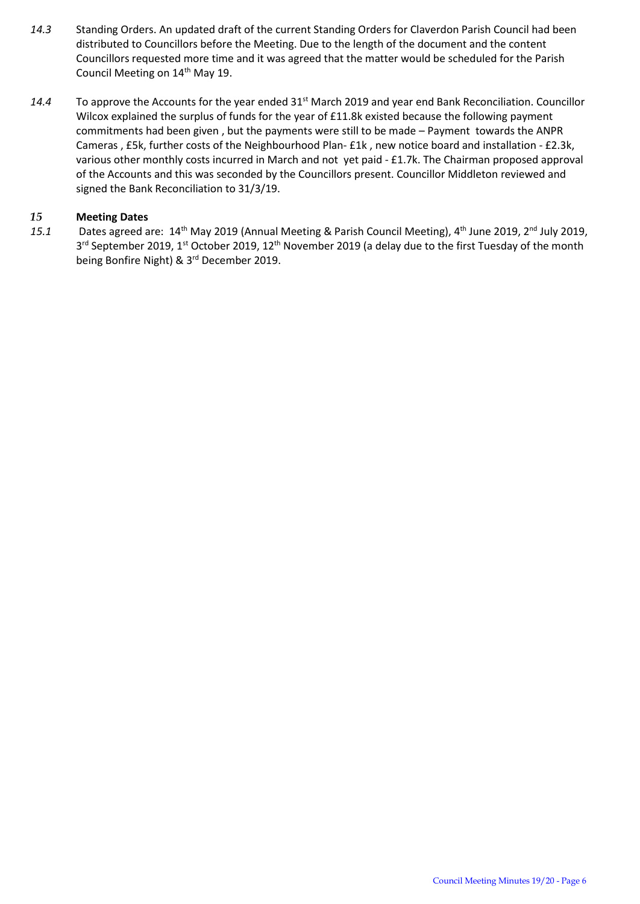- *14.3* Standing Orders. An updated draft of the current Standing Orders for Claverdon Parish Council had been distributed to Councillors before the Meeting. Due to the length of the document and the content Councillors requested more time and it was agreed that the matter would be scheduled for the Parish Council Meeting on 14<sup>th</sup> May 19.
- *14.4* To approve the Accounts for the year ended 31st March 2019 and year end Bank Reconciliation. Councillor Wilcox explained the surplus of funds for the year of £11.8k existed because the following payment commitments had been given , but the payments were still to be made – Payment towards the ANPR Cameras , £5k, further costs of the Neighbourhood Plan- £1k , new notice board and installation - £2.3k, various other monthly costs incurred in March and not yet paid - £1.7k. The Chairman proposed approval of the Accounts and this was seconded by the Councillors present. Councillor Middleton reviewed and signed the Bank Reconciliation to 31/3/19.

#### *15* **Meeting Dates**

15.1 Dates agreed are: 14<sup>th</sup> May 2019 (Annual Meeting & Parish Council Meeting), 4<sup>th</sup> June 2019, 2<sup>nd</sup> July 2019, 3<sup>rd</sup> September 2019, 1<sup>st</sup> October 2019, 12<sup>th</sup> November 2019 (a delay due to the first Tuesday of the month being Bonfire Night) & 3<sup>rd</sup> December 2019.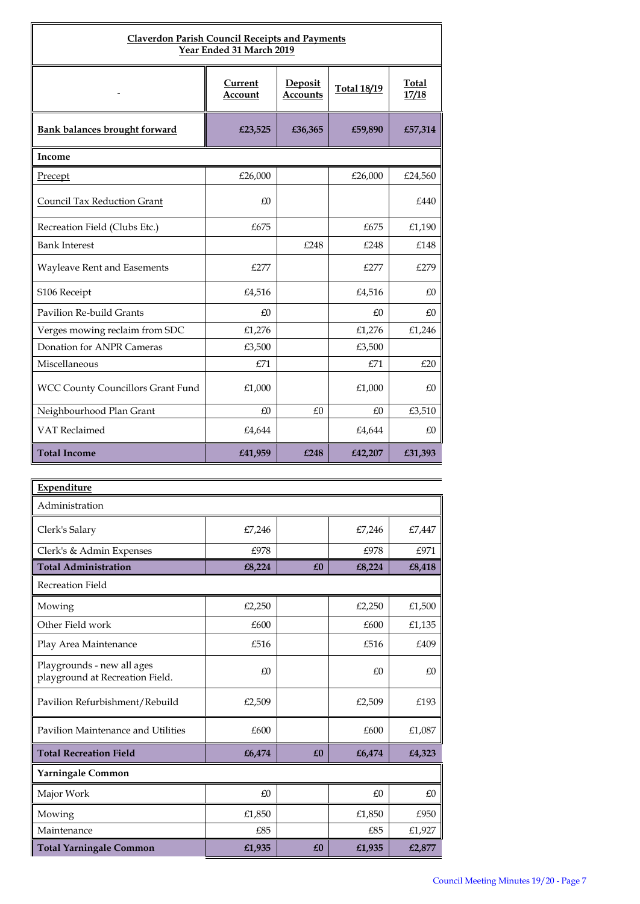| <b>Claverdon Parish Council Receipts and Payments</b><br>Year Ended 31 March 2019 |                    |                            |                    |                       |  |  |  |
|-----------------------------------------------------------------------------------|--------------------|----------------------------|--------------------|-----------------------|--|--|--|
|                                                                                   | Current<br>Account | Deposit<br><b>Accounts</b> | <b>Total 18/19</b> | <b>Total</b><br>17/18 |  |  |  |
| Bank balances brought forward                                                     | £23,525            | £36,365                    | £59,890            | £57,314               |  |  |  |
| Income                                                                            |                    |                            |                    |                       |  |  |  |
| Precept                                                                           | £26,000            |                            | £26,000            | £24,560               |  |  |  |
| Council Tax Reduction Grant                                                       | £0                 |                            |                    | £440                  |  |  |  |
| Recreation Field (Clubs Etc.)                                                     | £675               |                            | £675               | £1,190                |  |  |  |
| <b>Bank Interest</b>                                                              |                    | £248                       | £248               | £148                  |  |  |  |
| Wayleave Rent and Easements                                                       | £277               |                            | £277               | £279                  |  |  |  |
| S106 Receipt                                                                      | £4,516             |                            | £4,516             | £0                    |  |  |  |
| Pavilion Re-build Grants                                                          | £0                 |                            | £0                 | £0                    |  |  |  |
| Verges mowing reclaim from SDC                                                    | £1,276             |                            | £1,276             | £1,246                |  |  |  |
| Donation for ANPR Cameras                                                         | £3,500             |                            | £3,500             |                       |  |  |  |
| Miscellaneous                                                                     | E71                |                            | E71                | £20                   |  |  |  |
| <b>WCC County Councillors Grant Fund</b>                                          | £1,000             |                            | £1,000             | £0                    |  |  |  |
| Neighbourhood Plan Grant                                                          | £0                 | £0                         | £0                 | £3,510                |  |  |  |
| VAT Reclaimed                                                                     | £4,644             |                            | £4,644             | £0                    |  |  |  |
| <b>Total Income</b>                                                               | £41,959            | £248                       | £42,207            | £31,393               |  |  |  |

| Expenditure                                                   |        |    |        |        |  |  |
|---------------------------------------------------------------|--------|----|--------|--------|--|--|
| Administration                                                |        |    |        |        |  |  |
| Clerk's Salary                                                | £7,246 |    | £7,246 | £7,447 |  |  |
| Clerk's & Admin Expenses                                      | £978   |    | £978   | £971   |  |  |
| <b>Total Administration</b>                                   | £8,224 | £0 | £8,224 | £8,418 |  |  |
| Recreation Field                                              |        |    |        |        |  |  |
| Mowing                                                        | £2,250 |    | £2,250 | £1,500 |  |  |
| Other Field work                                              | £600   |    | £600   | £1,135 |  |  |
| Play Area Maintenance                                         | £516   |    | £516   | £409   |  |  |
| Playgrounds - new all ages<br>playground at Recreation Field. | £0     |    | £0     | £0     |  |  |
| Pavilion Refurbishment/Rebuild                                | £2,509 |    | £2,509 | £193   |  |  |
| Pavilion Maintenance and Utilities                            | £600   |    | £600   | £1,087 |  |  |
| <b>Total Recreation Field</b>                                 | £6,474 | £0 | £6,474 | £4,323 |  |  |
| <b>Yarningale Common</b>                                      |        |    |        |        |  |  |
| Major Work                                                    | £0     |    | £0     | £0     |  |  |
| Mowing                                                        | £1,850 |    | £1,850 | £950   |  |  |
| Maintenance                                                   | £85    |    | £85    | £1,927 |  |  |
| <b>Total Yarningale Common</b>                                | £1,935 | £0 | £1,935 | £2,877 |  |  |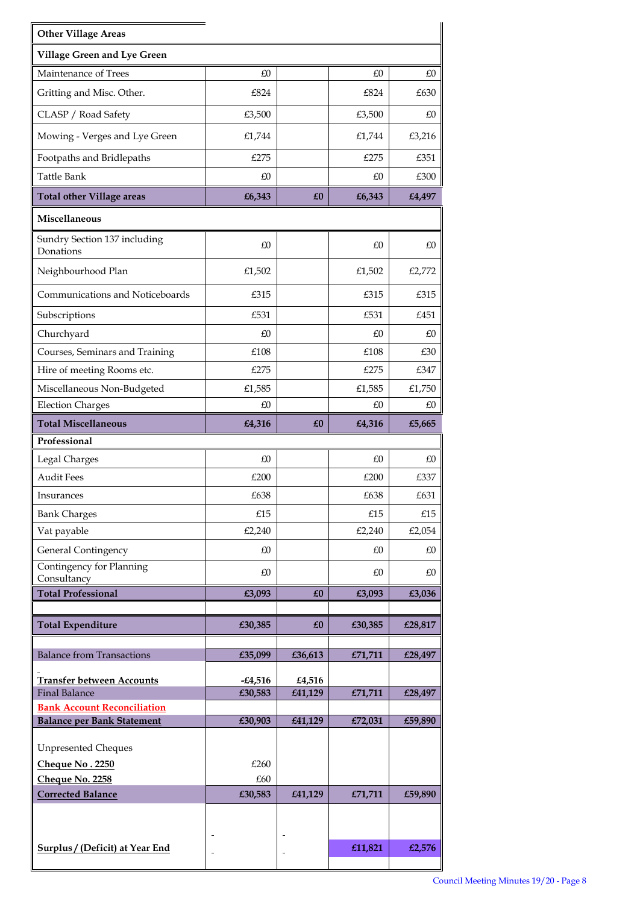| <b>Other Village Areas</b>                                              |                |         |         |         |  |  |
|-------------------------------------------------------------------------|----------------|---------|---------|---------|--|--|
| Village Green and Lye Green                                             |                |         |         |         |  |  |
| Maintenance of Trees                                                    | £0             |         | £0      | £0      |  |  |
| Gritting and Misc. Other.                                               | £824           |         | £824    | £630    |  |  |
| CLASP / Road Safety                                                     | £3,500         |         | £3,500  | £0      |  |  |
| Mowing - Verges and Lye Green                                           | £1,744         |         | £1,744  | £3,216  |  |  |
| Footpaths and Bridlepaths                                               | £275           |         | £275    | £351    |  |  |
| Tattle Bank                                                             | £0             |         | £0      | £300    |  |  |
| <b>Total other Village areas</b>                                        | £6,343         | £O      | £6,343  | £4,497  |  |  |
| Miscellaneous                                                           |                |         |         |         |  |  |
| Sundry Section 137 including<br>Donations                               | £0             |         | £0      | £0      |  |  |
| Neighbourhood Plan                                                      | £1,502         |         | £1,502  | £2,772  |  |  |
| Communications and Noticeboards                                         | £315           |         | £315    | £315    |  |  |
| Subscriptions                                                           | £531           |         | £531    | £451    |  |  |
| Churchyard                                                              | £0             |         | £0      | £0      |  |  |
| Courses, Seminars and Training                                          | £108           |         | £108    | £30     |  |  |
| Hire of meeting Rooms etc.                                              | £275           |         | £275    | £347    |  |  |
| Miscellaneous Non-Budgeted                                              | £1,585         |         | £1,585  | £1,750  |  |  |
| <b>Election Charges</b>                                                 | £0             |         | £0      | £0      |  |  |
| <b>Total Miscellaneous</b>                                              | £4,316         | £O      | £4,316  | £5,665  |  |  |
| Professional                                                            |                |         |         |         |  |  |
| Legal Charges                                                           | £0             |         | £0      | £0      |  |  |
| <b>Audit Fees</b>                                                       | £200           |         | £200    | £337    |  |  |
| Insurances                                                              | £638           |         | £638    | £631    |  |  |
| <b>Bank Charges</b>                                                     | £15            |         | £15     | £15     |  |  |
| Vat payable                                                             | £2,240         |         | £2,240  | £2,054  |  |  |
| <b>General Contingency</b><br>Contingency for Planning                  | £0             |         | £0      | £0      |  |  |
| Consultancy                                                             | £0             |         | £0      | £0      |  |  |
| <b>Total Professional</b>                                               | £3,093         | £0      | £3,093  | £3,036  |  |  |
| <b>Total Expenditure</b>                                                | £30,385        | £O      | £30,385 | £28,817 |  |  |
|                                                                         |                |         |         |         |  |  |
| <b>Balance from Transactions</b>                                        | £35,099        | £36,613 | £71,711 | £28,497 |  |  |
| <b>Transfer between Accounts</b>                                        | $-£4,516$      | £4,516  |         |         |  |  |
| <b>Final Balance</b>                                                    | £30,583        | £41,129 | £71,711 | £28,497 |  |  |
| <b>Bank Account Reconciliation</b><br><b>Balance per Bank Statement</b> | £30,903        | £41,129 | £72,031 | £59,890 |  |  |
|                                                                         |                |         |         |         |  |  |
| <b>Unpresented Cheques</b>                                              |                |         |         |         |  |  |
| Cheque No. 2250                                                         | £260           |         |         |         |  |  |
| Cheque No. 2258                                                         | £60<br>£30,583 | £41,129 |         |         |  |  |
| <b>Corrected Balance</b>                                                |                |         | £71,711 | £59,890 |  |  |
|                                                                         |                |         |         |         |  |  |
| <b>Surplus / (Deficit) at Year End</b>                                  |                |         | £11,821 | £2,576  |  |  |
|                                                                         |                |         |         |         |  |  |